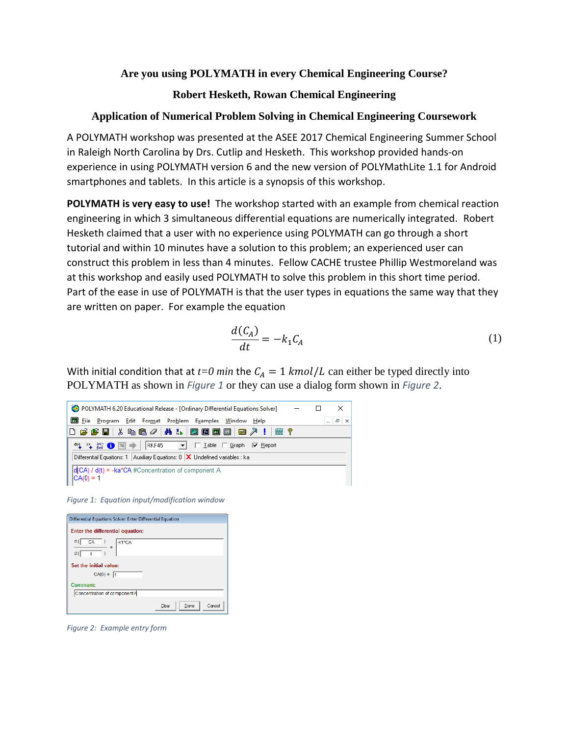## **Are you using POLYMATH in every Chemical Engineering Course?**

### **Robert Hesketh, Rowan Chemical Engineering**

### **Application of Numerical Problem Solving in Chemical Engineering Coursework**

A POLYMATH workshop was presented at the ASEE 2017 Chemical Engineering Summer School in Raleigh North Carolina by Drs. Cutlip and Hesketh. This workshop provided hands-on experience in using POLYMATH version 6 and the new version of POLYMathLite 1.1 for Android smartphones and tablets. In this article is a synopsis of this workshop.

**POLYMATH is very easy to use!** The workshop started with an example from chemical reaction engineering in which 3 simultaneous differential equations are numerically integrated. Robert Hesketh claimed that a user with no experience using POLYMATH can go through a short tutorial and within 10 minutes have a solution to this problem; an experienced user can construct this problem in less than 4 minutes. Fellow CACHE trustee Phillip Westmoreland was at this workshop and easily used POLYMATH to solve this problem in this short time period. Part of the ease in use of POLYMATH is that the user types in equations the same way that they are written on paper. For example the equation

$$
\frac{d(C_A)}{dt} = -k_1 C_A \tag{1}
$$

With initial condition that at  $t=0$  min the  $C_A = 1$  kmol/L can either be typed directly into POLYMATH as shown in *[Figure 1](#page-0-0)* or they can use a dialog form shown in *[Figure 2](#page-0-1)*.



*Figure 1: Equation input/modification window*

<span id="page-0-0"></span>

| Differential Equations Solver: Enter Differential Equation |                         |  |  |  |
|------------------------------------------------------------|-------------------------|--|--|--|
| <b>Enter the differential equation:</b>                    |                         |  |  |  |
| d(<br>$CA$ )<br>-k1*CA<br>d                                |                         |  |  |  |
| Set the initial value:<br>$CA(0) = \boxed{1}$              |                         |  |  |  |
| Comment:                                                   |                         |  |  |  |
| Concentration of component A                               |                         |  |  |  |
|                                                            | Cancel<br>Done<br>Clear |  |  |  |

<span id="page-0-1"></span>*Figure 2: Example entry form*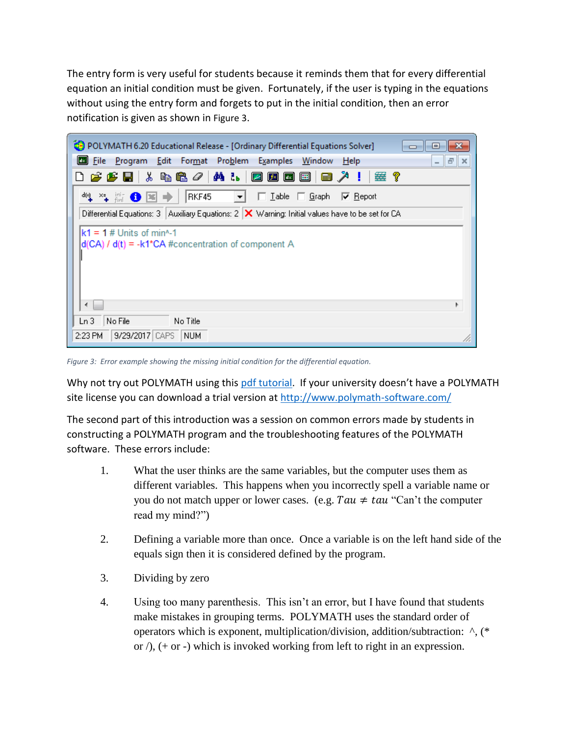The entry form is very useful for students because it reminds them that for every differential equation an initial condition must be given. Fortunately, if the user is typing in the equations without using the entry form and forgets to put in the initial condition, then an error notification is given as shown in [Figure 3](#page-1-0).

| POLYMATH 6.20 Educational Release - [Ordinary Differential Equations Solver]<br>e<br>$\Box$                             |  |  |  |  |
|-------------------------------------------------------------------------------------------------------------------------|--|--|--|--|
| <b>Ed</b> File<br>Program Edit Format Problem Examples Window<br>Help<br>E<br>$\boldsymbol{\times}$                     |  |  |  |  |
| 0 <del>2 2 5 5</del> 1 % 4 6 <i>0 1</i> A % 1 0 0 0 0 1<br>■ ↗ !<br>ା ##?                                               |  |  |  |  |
| ષમ⊯❶⊠⇒∥<br>RKF45<br>$\Box$ $\Box$ able $\Box$ $\Box$ raph<br>$\nabla$ Report<br>$\mathbf{r}$                            |  |  |  |  |
| Differential Equations: 3   Auxiliary Equations: 2 $\mid \mathsf{X} \mid$ Warning: Initial values have to be set for CA |  |  |  |  |
| $k1 = 1$ # Units of min^-1                                                                                              |  |  |  |  |
| $d(CA)$ / $d(t) = -k1*CA$ #concentration of component A                                                                 |  |  |  |  |
|                                                                                                                         |  |  |  |  |
|                                                                                                                         |  |  |  |  |
|                                                                                                                         |  |  |  |  |
| ◀                                                                                                                       |  |  |  |  |
| Ln 3<br>No File<br>No Title                                                                                             |  |  |  |  |
| 9/29/2017 CAPS<br>NUM<br>2:23 PM                                                                                        |  |  |  |  |

<span id="page-1-0"></span>*Figure 3: Error example showing the missing initial condition for the differential equation.*

Why not try out POLYMATH using this [pdf tutorial.](http://users.rowan.edu/~hesketh/POLYMATH/Introduction%20to%20Polymath%20for%20Workshop.pdf) If your university doesn't have a POLYMATH site license you can download a trial version at<http://www.polymath-software.com/>

The second part of this introduction was a session on common errors made by students in constructing a POLYMATH program and the troubleshooting features of the POLYMATH software. These errors include:

- 1. What the user thinks are the same variables, but the computer uses them as different variables. This happens when you incorrectly spell a variable name or you do not match upper or lower cases. (e.g.  $Tau \neq tau$  "Can't the computer read my mind?")
- 2. Defining a variable more than once. Once a variable is on the left hand side of the equals sign then it is considered defined by the program.
- 3. Dividing by zero
- 4. Using too many parenthesis. This isn't an error, but I have found that students make mistakes in grouping terms. POLYMATH uses the standard order of operators which is exponent, multiplication/division, addition/subtraction: ^, (\* or  $/$ ),  $(+)$  or  $-)$  which is invoked working from left to right in an expression.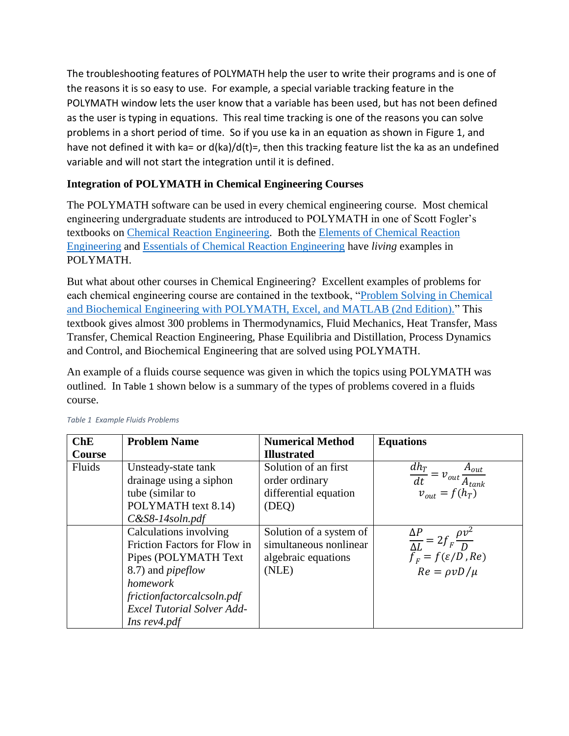The troubleshooting features of POLYMATH help the user to write their programs and is one of the reasons it is so easy to use. For example, a special variable tracking feature in the POLYMATH window lets the user know that a variable has been used, but has not been defined as the user is typing in equations. This real time tracking is one of the reasons you can solve problems in a short period of time. So if you use ka in an equation as shown in [Figure 1,](#page-0-0) and have not defined it with ka= or  $d(ka)/d(t)=$ , then this tracking feature list the ka as an undefined variable and will not start the integration until it is defined.

# **Integration of POLYMATH in Chemical Engineering Courses**

The POLYMATH software can be used in every chemical engineering course. Most chemical engineering undergraduate students are introduced to POLYMATH in one of Scott Fogler's textbooks on [Chemical Reaction Engineering.](http://umich.edu/~elements/5e/) Both the [Elements of Chemical Reaction](http://umich.edu/~elements/5e/)  [Engineering](http://umich.edu/~elements/5e/) and [Essentials of Chemical Reaction Engineering](http://umich.edu/~essen/html/bychapter/live/frames.htm) have *living* examples in POLYMATH.

But what about other courses in Chemical Engineering? Excellent examples of problems for each chemical engineering course are contained in the textbook, ["Problem Solving in Chemical](https://www.amazon.com/Problem-Chemical-Biochemical-Engineering-POLYMATH/dp/0131482041)  [and Biochemical Engineering with POLYMATH, Excel, and MATLAB \(2nd Edition\)."](https://www.amazon.com/Problem-Chemical-Biochemical-Engineering-POLYMATH/dp/0131482041) This textbook gives almost 300 problems in Thermodynamics, Fluid Mechanics, Heat Transfer, Mass Transfer, Chemical Reaction Engineering, Phase Equilibria and Distillation, Process Dynamics and Control, and Biochemical Engineering that are solved using POLYMATH.

An example of a fluids course sequence was given in which the topics using POLYMATH was outlined. In [Table 1](#page-2-0) shown below is a summary of the types of problems covered in a fluids course.

| ChE    | <b>Problem Name</b>               | <b>Numerical Method</b> | <b>Equations</b>                                      |
|--------|-----------------------------------|-------------------------|-------------------------------------------------------|
| Course |                                   | <b>Illustrated</b>      |                                                       |
| Fluids | Unsteady-state tank               | Solution of an first    | $\frac{d h_T}{dt} = v_{out} \frac{A_{out}}{A_{tank}}$ |
|        | drainage using a siphon           | order ordinary          |                                                       |
|        | tube (similar to                  | differential equation   | $v_{out} = f(h_T)$                                    |
|        | POLYMATH text 8.14)               | (DEQ)                   |                                                       |
|        | C&S8-14soln.pdf                   |                         |                                                       |
|        | Calculations involving            | Solution of a system of |                                                       |
|        | Friction Factors for Flow in      | simultaneous nonlinear  | $\frac{\Delta P}{\Delta L} = 2f_F \frac{\rho v^2}{D}$ |
|        | Pipes (POLYMATH Text              | algebraic equations     | $f_F = f(\varepsilon/D, Re)$                          |
|        | 8.7) and <i>pipeflow</i>          | (NLE)                   | $Re = \rho v D / \mu$                                 |
|        | homework                          |                         |                                                       |
|        | frictionfactorcalcsoln.pdf        |                         |                                                       |
|        | <b>Excel Tutorial Solver Add-</b> |                         |                                                       |
|        | Ins rev4.pdf                      |                         |                                                       |

<span id="page-2-0"></span>*Table 1 Example Fluids Problems*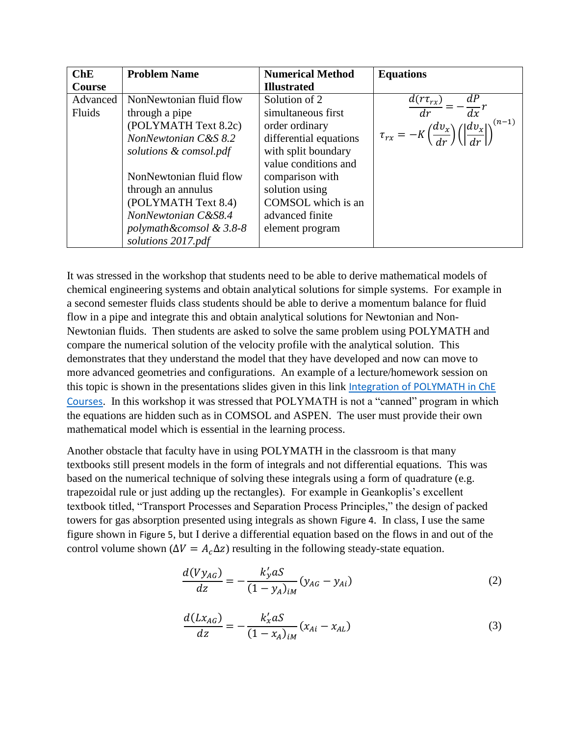| ChE           | <b>Problem Name</b>     | <b>Numerical Method</b> | <b>Equations</b>                                                                                           |
|---------------|-------------------------|-------------------------|------------------------------------------------------------------------------------------------------------|
| <b>Course</b> |                         | <b>Illustrated</b>      |                                                                                                            |
| Advanced      | NonNewtonian fluid flow | Solution of 2           | dP<br>$\frac{d(r\tau_{rx})}{dr}$                                                                           |
| Fluids        | through a pipe          | simultaneous first      | $\overline{dx}^r$                                                                                          |
|               | (POLYMATH Text 8.2c)    | order ordinary          |                                                                                                            |
|               | NonNewtonian C&S 8.2    | differential equations  | $\int \tau_{rx} = -K \left( \frac{dv_x}{dr} \right) \left( \left  \frac{dv_x}{dr} \right  \right)^{(n-1)}$ |
|               | solutions & comsol.pdf  | with split boundary     |                                                                                                            |
|               |                         | value conditions and    |                                                                                                            |
|               | NonNewtonian fluid flow | comparison with         |                                                                                                            |
|               | through an annulus      | solution using          |                                                                                                            |
|               | (POLYMATH Text 8.4)     | COMSOL which is an      |                                                                                                            |
|               | NonNewtonian C&S8.4     | advanced finite         |                                                                                                            |
|               | polymath&comsol & 3.8-8 | element program         |                                                                                                            |
|               | solutions 2017.pdf      |                         |                                                                                                            |

It was stressed in the workshop that students need to be able to derive mathematical models of chemical engineering systems and obtain analytical solutions for simple systems. For example in a second semester fluids class students should be able to derive a momentum balance for fluid flow in a pipe and integrate this and obtain analytical solutions for Newtonian and Non-Newtonian fluids. Then students are asked to solve the same problem using POLYMATH and compare the numerical solution of the velocity profile with the analytical solution. This demonstrates that they understand the model that they have developed and now can move to more advanced geometries and configurations. An example of a lecture/homework session on this topic is shown in the presentations slides given in this link [Integration of POLYMATH in ChE](http://users.rowan.edu/~hesketh/POLYMATH/IntegrationInChECoursesrev2.pdf)  [Courses](http://users.rowan.edu/~hesketh/POLYMATH/IntegrationInChECoursesrev2.pdf). In this workshop it was stressed that POLYMATH is not a "canned" program in which the equations are hidden such as in COMSOL and ASPEN. The user must provide their own mathematical model which is essential in the learning process.

Another obstacle that faculty have in using POLYMATH in the classroom is that many textbooks still present models in the form of integrals and not differential equations. This was based on the numerical technique of solving these integrals using a form of quadrature (e.g. trapezoidal rule or just adding up the rectangles). For example in Geankoplis's excellent textbook titled, "Transport Processes and Separation Process Principles," the design of packed towers for gas absorption presented using integrals as shown [Figure 4](#page-4-0). In class, I use the same figure shown in [Figure 5](#page-4-1), but I derive a differential equation based on the flows in and out of the control volume shown ( $\Delta V = A_c \Delta z$ ) resulting in the following steady-state equation.

$$
\frac{d(Vy_{AG})}{dz} = -\frac{k'_y aS}{(1 - y_A)_{iM}} (y_{AG} - y_{Ai})
$$
\n(2)

$$
\frac{d(Lx_{AG})}{dz} = -\frac{k_x' aS}{(1 - x_A)_{iM}} (x_{Ai} - x_{AL})
$$
\n(3)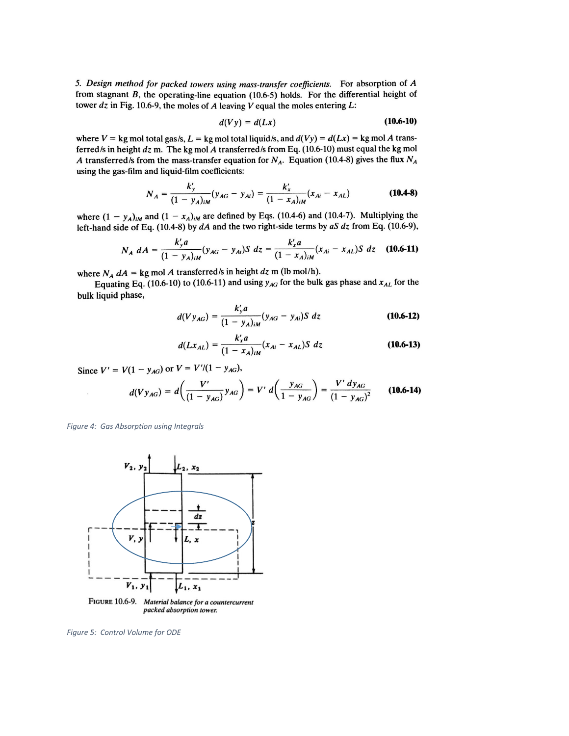5. Design method for packed towers using mass-transfer coefficients. For absorption of A from stagnant  $B$ , the operating-line equation (10.6-5) holds. For the differential height of tower  $dz$  in Fig. 10.6-9, the moles of A leaving V equal the moles entering  $L$ :

$$
d(Vy) = d(Lx) \tag{10.6-10}
$$

where  $V =$  kg mol total gas/s,  $L =$  kg mol total liquid/s, and  $d(Vy) = d(Lx) =$  kg mol A transferred/s in height  $dz$  m. The kg mol A transferred/s from Eq. (10.6-10) must equal the kg mol A transferred/s from the mass-transfer equation for  $N_A$ . Equation (10.4-8) gives the flux  $N_A$ using the gas-film and liquid-film coefficients:

$$
N_A = \frac{k'_y}{(1 - y_A)_{iM}} (y_{AG} - y_{Ai}) = \frac{k'_x}{(1 - x_A)_{iM}} (x_{Ai} - x_{AL})
$$
(10.4-8)

where  $(1 - y_A)_{iM}$  and  $(1 - x_A)_{iM}$  are defined by Eqs. (10.4-6) and (10.4-7). Multiplying the left-hand side of Eq. (10.4-8) by  $dA$  and the two right-side terms by  $aS$   $dz$  from Eq. (10.6-9),

$$
N_A \, dA = \frac{k'_y a}{(1 - y_A)_{iM}} (y_{AG} - y_{Ai}) S \, dz = \frac{k'_x a}{(1 - x_A)_{iM}} (x_{Ai} - x_{AL}) S \, dz \quad (10.6-11)
$$

where  $N_A$   $dA =$  kg mol A transferred/s in height  $dz$  m (lb mol/h).

Equating Eq. (10.6-10) to (10.6-11) and using  $y_{AG}$  for the bulk gas phase and  $x_{AL}$  for the bulk liquid phase,

$$
d(Vy_{AG}) = \frac{k'_{y}a}{(1 - y_{A})_{iM}} (y_{AG} - y_{Ai})S \ dz
$$
 (10.6-12)

$$
d(Lx_{AL}) = \frac{k'_x a}{(1 - x_A)_{iM}} (x_{Ai} - x_{AL}) S \ dz
$$
 (10.6-13)

Since  $V' = V(1 - y_{AG})$  or  $V = V'/(1 - y_{AG})$ ,

$$
d(Vy_{AG}) = d\left(\frac{V'}{(1 - y_{AG})}y_{AG}\right) = V' d\left(\frac{y_{AG}}{1 - y_{AG}}\right) = \frac{V' dy_{AG}}{(1 - y_{AG})^2}
$$
 (10.6-14)

<span id="page-4-0"></span>Figure 4: Gas Absorption using Integrals



<span id="page-4-1"></span>Figure 5: Control Volume for ODE